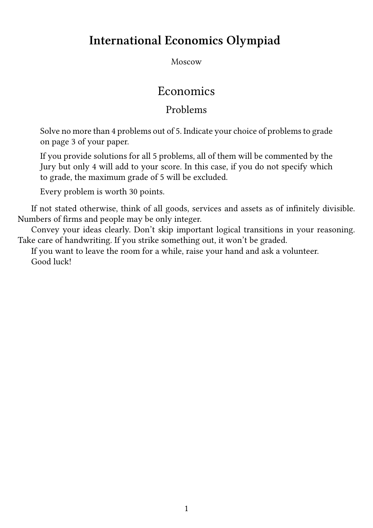# **International Economics Olympiad**

Moscow

## Economics

## Problems

Solve no more than 4 problems out of 5. Indicate your choice of problems to grade on page 3 of your paper.

If you provide solutions for all 5 problems, all of them will be commented by the Jury but only 4 will add to your score. In this case, if you do not specify which to grade, the maximum grade of 5 will be excluded.

Every problem is worth 30 points.

If not stated otherwise, think of all goods, services and assets as of infinitely divisible. Numbers of firms and people may be only integer.

Convey your ideas clearly. Don't skip important logical transitions in your reasoning. Take care of handwriting. If you strike something out, it won't be graded.

If you want to leave the room for a while, raise your hand and ask a volunteer. Good luck!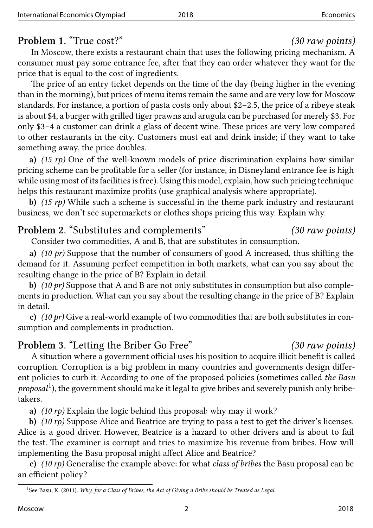### **Problem 1.** "True cost?" *(30 raw points)*

In Moscow, there exists a restaurant chain that uses the following pricing mechanism. A consumer must pay some entrance fee, after that they can order whatever they want for the price that is equal to the cost of ingredients.

The price of an entry ticket depends on the time of the day (being higher in the evening than in the morning), but prices of menu items remain the same and are very low for Moscow standards. For instance, a portion of pasta costs only about \$2–2.5, the price of a ribeye steak is about \$4, a burger with grilled tiger prawns and arugula can be purchased for merely \$3. For only \$3–4 a customer can drink a glass of decent wine. These prices are very low compared to other restaurants in the city. Customers must eat and drink inside; if they want to take something away, the price doubles.

**a)** *(15 rp)* One of the well-known models of price discrimination explains how similar pricing scheme can be profitable for a seller (for instance, in Disneyland entrance fee is high while using most of its facilities is free). Using this model, explain, how such pricing technique helps this restaurant maximize profits (use graphical analysis where appropriate).

**b)** *(15 rp)* While such a scheme is successful in the theme park industry and restaurant business, we don't see supermarkets or clothes shops pricing this way. Explain why.

## **Problem 2.** "Substitutes and complements" *(30 raw points)*

Consider two commodities, A and B, that are substitutes in consumption.

**a)** *(10 pr)* Suppose that the number of consumers of good A increased, thus shifting the demand for it. Assuming perfect competition in both markets, what can you say about the resulting change in the price of B? Explain in detail.

**b)** *(10 pr)* Suppose that A and B are not only substitutes in consumption but also complements in production. What can you say about the resulting change in the price of B? Explain in detail.

**c)** *(10 pr)* Give a real-world example of two commodities that are both substitutes in consumption and complements in production.

## **Problem 3.** "Letting the Briber Go Free" *(30 raw points)*

A situation where a government official uses his position to acquire illicit benefit is called corruption. Corruption is a big problem in many countries and governments design different policies to curb it. According to one of the proposed policies (sometimes called *the Basu* proposal<sup>1</sup>), the government should make it legal to give bribes and severely punish only bribetakers.

**a)** *(10 rp)* Explain the logic behind this proposal: why may it work?

**b)** *(1[0](#page-1-0) rp)* Suppose Alice and Beatrice are trying to pass a test to get the driver's licenses. Alice is a good driver. However, Beatrice is a hazard to other drivers and is about to fail the test. The examiner is corrupt and tries to maximize his revenue from bribes. How will implementing the Basu proposal might affect Alice and Beatrice?

**c)** *(10 rp)* Generalise the example above: for what *class of bribes* the Basu proposal can be an efficient policy?

<span id="page-1-0"></span><sup>&</sup>lt;sup>1</sup>See Basu, K. (2011). *Why, for a Class of Bribes, the Act of Giving a Bribe should be Treated as Legal.*